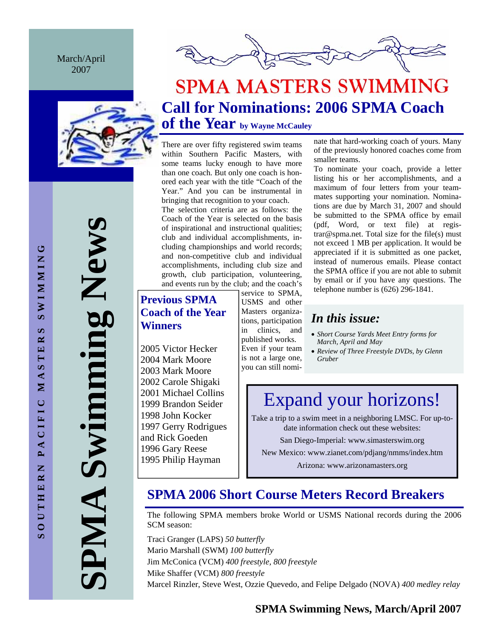March/April 2007



**SPMA Swimming News**  Swimming News AIMP

# **SPMA MASTERS SWIMMING Call for Nominations: 2006 SPMA Coach of the Year by Wayne McCauley**

There are over fifty registered swim teams within Southern Pacific Masters, with some teams lucky enough to have more than one coach. But only one coach is honored each year with the title "Coach of the Year." And you can be instrumental in bringing that recognition to your coach.

The selection criteria are as follows: the Coach of the Year is selected on the basis of inspirational and instructional qualities; club and individual accomplishments, including championships and world records; and non-competitive club and individual accomplishments, including club size and growth, club participation, volunteering, and events run by the club; and the coach's

# **Previous SPMA Coach of the Year Winners**

2005 Victor Hecker 2004 Mark Moore 2003 Mark Moore 2002 Carole Shigaki 2001 Michael Collins 1999 Brandon Seider 1998 John Kocker 1997 Gerry Rodrigues and Rick Goeden 1996 Gary Reese 1995 Philip Hayman

service to SPMA, USMS and other Masters organizations, participation in clinics, and published works. Even if your team

you can still nomi-

is not a large one,

nate that hard-working coach of yours. Many of the previously honored coaches come from smaller teams.

To nominate your coach, provide a letter listing his or her accomplishments, and a maximum of four letters from your teammates supporting your nomination. Nominations are due by March 31, 2007 and should be submitted to the SPMA office by email (pdf, Word, or text file) at registrar@spma.net. Total size for the file(s) must not exceed 1 MB per application. It would be appreciated if it is submitted as one packet, instead of numerous emails. Please contact the SPMA office if you are not able to submit by email or if you have any questions. The telephone number is (626) 296-1841.

# *In this issue:*

- *Short Course Yards Meet Entry forms for March, April and May*
- *Review of Three Freestyle DVDs, by Glenn Gruber*

# Expand your horizons!

Take a trip to a swim meet in a neighboring LMSC. For up-todate information check out these websites:

San Diego-Imperial: www.simasterswim.org

New Mexico: www.zianet.com/pdjang/nmms/index.htm

Arizona: www.arizonamasters.org

# **SPMA 2006 Short Course Meters Record Breakers**

The following SPMA members broke World or USMS National records during the 2006 SCM season:

Traci Granger (LAPS) *50 butterfly*  Mario Marshall (SWM) *100 butterfly*  Jim McConica (VCM) *400 freestyle, 800 freestyle*  Mike Shaffer (VCM) *800 freestyle*  Marcel Rinzler, Steve West, Ozzie Quevedo, and Felipe Delgado (NOVA) *400 medley relay*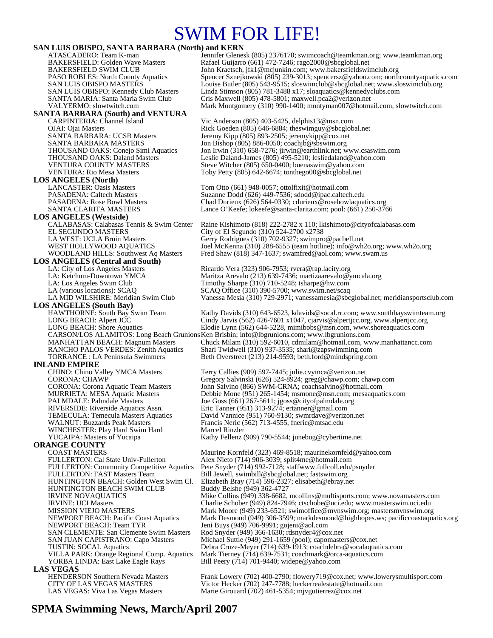# SWIM FOR LIFE!

**SAN LUIS OBISPO, SANTA BARBARA (North) and KERN**<br>ATASCADERO: Team K-man<br>Jennifer Glenes ATASCADERO: Team K-man Jennifer Glenesk (805) 2376170; swimcoach@teamkman.org; www.teamkman.org<br>BAKERSFIELD: Golden Wave Masters Rafael Guijarro (661) 472-7246; rago2000@sbcglobal.net BAKERSFIELD: Golden Wave Masters Rafael Guijarro (661) 472-7246; rago2000@sbcglobal.net<br>BAKERSFIELD SWIM CLUB John Kraetsch, jfk1@mcjunkin.com; www.bakersfieldswii BAKERSFIELD SWIM CLUB<br>
PASO ROBLES: North County Aquatics Spencer Sznejkowski (805) 239-3013; spencersz@yahoo.com; north PASO ROBLES: North County Aquatics Spencer Sznejkowski (805) 239-3013; spencersz@yahoo.com; northcountyaquatics.com<br>SAN LUIS OBISPO MASTERS Louise Butler (805) 543-9515; sloswimclub@sbcglobal.net; www.sloswimclub.org SAN LUIS OBISPO MASTERS<br>
SAN LUIS OBISPO: Kennedy Club Masters<br>
Linda Stimson (805) 781-3488 x17; sloaquatics@kennedyclubs.com SAN LUIS OBISPO: Kennedy Club Masters Linda Stimson (805) 781-3488 x17; sloaquatics@kennedyclubs.com<br>SANTA MARIA: Santa Maria Swim Club Cris Maxwell (805) 478-5801; maxwell.pca2@verizon.net SANTA MARIA: Santa Maria Swim Club Cris Maxwell (805) 478-5801; maxwell.pca2@verizon.net Mark Montgomery (310) 990-1400; montyman007@hotmail.com, slowtwitch.com **SANTA BARBARA (South) and VENTURA**  Vic Anderson (805) 403-5425, delphis13@msn.com OJAI: Ojai Masters Rick Goeden (805) 646-6884; theswimguy @sbcglobal.net<br>
SANTA BARBARA: UCSB Masters Jeremy Kipp (805) 893-2505; jeremykipp @cox.net SANTA BARBARA: UCSB Masters Jeremy Kipp (805) 893-2505; jeremykipp@cox.net<br>SANTA BARBARA MASTERS Jon Bishop (805) 886-0050; coachib@sbswim.org SANTA BARBARA MASTERS Jon Bishop (805) 886-0050; coachjb@sbswim.org<br>THOUSAND OAKS: Conejo Simi Aquatics Jon Irwin (310) 658-7276; jirwin@earthlink.net; w THOUSAND OAKS: Conejo Simi Aquatics Jon Irwin (310) 658-7276; jirwin@earthlink.net; www.csaswim.com<br>THOUSAND OAKS: Daland Masters Leslie Daland-James (805) 495-5210; lesliedaland@yahoo.com THOUSAND OAKS: Daland Masters Leslie Daland-James (805) 495-5210; lesliedaland@yahoo.com VENTURA COUNTY MASTERS Steve Witcher (805) 650-0400; buenaswim@yahoo.com VENTURA: Rio Mesa Masters Toby Petty (805) 642-6674; tonthego00@sbcglobal.net **LOS ANGELES (North)**  LANCASTER: Oasis Masters Tom Otto (661) 948-0057; ottolfixit@hotmail.com PASADENA: Caltech Masters Suzanne Dodd (626) 449-7536; sdodd@ipac.caltech.edu PASADENA: Rose Bowl Masters Chad Durieux (626) 564-0330; cdurieux @rosebowlaquatics.org SANTA CLARITA MASTERS Lance O'Keefe; lokeefe@santa-clarita.com; pool: (661) 250-3766 **LOS ANGELES (Westside)** CALABASAS: Calabasas Tennis & Swim Center Raine Kishimoto (818) 222-2782 x 110; lkishimoto@cityofcalabasas.com City of El Segundo  $(310)$  524-2700 x2738 LA WEST: UCLA Bruin Masters Gerry Rodrigues (310) 702-9327; swimpro@pacbell.net WEST HOLLYWOOD AQUATICS Joel McKenna (310) 288-6555 (team hotline); info@wh2o.org; www.wh2o.org WOODLAND HILLS: Southwest Aq Masters Fred Shaw (818) 347-1637; swamfred@aol.com; www.swam.us LOS ANGELES (Central and South)<br>LA: City of Los Angeles Masters LA: City of Los Angeles Masters **Ricardo Vera (323) 906-7953; rvera@rap.lacity.org**<br>Cat. Ketchum-Downtown YMCA Maritza Arevalo (213) 639-7436; martizaarevalo@y LA: Ketchum-Downtown YMCA Maritza Arevalo (213) 639-7436; martizaarevalo@ymcala.org<br>
LA: Los Angeles Swim Club Timothy Sharpe (310) 710-5248; tsharpe@hw.com LA: Los Angeles Swim Club Timothy Sharpe (310) 710-5248; tsharpe @hw.com<br>LA (various locations): SCAQ SCAQ SCAQ Office (310) 390-5700; www.swim.net/scaq LA (various locations): SCAQ  $SCAQ$  SCAQ Office (310) 390-5700; www.swim.net/scaq<br>LA MID WILSHIRE: Meridian Swim Club Vanessa Mesia (310) 729-2971; vanessamesia@sbc Vanessa Mesia (310) 729-2971; vanessamesia@sbcglobal.net; meridiansportsclub.com **LOS ANGELES (South Bay)**  Kathy Davids (310) 643-6523, kdavids@socal.rr.com; www.southbayswimteam.org LONG BEACH: Alpert JCC Cindy Jarvis (562) 426-7601 x1047, cjarvis @alpertjcc.org, www.alpertjcc.org<br>LONG BEACH: Shore Aquatics Elodie Lynn (562) 644-5228, mimibobs @msn.com, www.shoreaquatics.com Elodie Lynn (562) 644-5228, mimibobs@msn.com, www.shoreaquatics.com CARSON/LOS ALAMITOS: Long Beach Grunions Ken Brisbin; info@lbgrunions.com; www.lbgrunions.com MANHATTAN BEACH: Magnum Masters Chuck Milam (310) 592-6010, cdmilam@hotmail.com, www.manhattancc.com<br>RANCHO PALOS VERDES: Zenith Aquatics Shari Twidwell (310) 937-3535; shari@zapswimming.com Shari Twidwell (310) 937-3535; shari@zapswimming.com TORRANCE : LA Peninsula Swimmers Beth Overstreet (213) 214-9593; beth.ford@mindspring.com **INLAND EMPIRE**<br>CHINO: Chino Valley YMCA Masters Terry Callies (909) 597-7445; julie.cvymca@verizon.net CORONA: CHAWP Gregory Salvinski (626) 524-8924; greg@chawp.com; chawp.com CORONA: Corona Aquatic Team Masters John Salvino (866) SWM-CRNA; coachsalvino@hotmail.com MURRIETA: MESA Aquatic Masters Debbie Mone (951) 265-1454; msmone@msn.com; mesaaquatics.com PALMDALE: Palmdale Masters Joe Goss (661) 267-5611; jgoss@cityofpalmdale.org<br>RIVERSIDE: Riverside Aquatics Assn. Fric Tanner (951) 313-9274; ertanner@gmail.com Eric Tanner (951) 313-9274; ertanner@gmail.com TEMECULA: Temecula Masters Aquatics David Vannice (951) 760-9130; swmrdave@verizon.net<br>WALNUT: Buzzards Peak Masters Francis Neric (562) 713-4555, fineric@mtsac.edu Francis Neric (562) 713-4555, fneric@mtsac.edu<br>Marcel Rinzler WINCHESTER: Play Hard Swim Hard<br>YUCAIPA: Masters of Yucaipa Kathy Fellenz (909) 790-5544; junebug@cybertime.net **ORANGE COUNTY**  COAST MASTERS<br>FULLERTON: Cal State Univ-Fullerton Maurine Kornfeld (323) 469-8518; maurinekornfeld@yahoo.com<br>Alex Nieto (714) 906-3039; split4me@hotmail.com Alex Nieto (714) 906-3039; split4me@hotmail.com FULLERTON: Community Competitive Aquatics Pete Snyder (714) 992-7128; staffwww.fullcoll.edu/psnyder FULLERTON: FAST Masters Team Bill Jewell, swimbill@sbcglobal.net; fastswim.org<br>HUNTINGTON BEACH: Golden West Swim Cl. Elizabeth Bray (714) 596-2327; elisabeth@ebray.n Elizabeth Bray (714) 596-2327; elisabeth@ebray.net<br>Buddy Belshe (949) 362-4727 HUNTINGTON BEACH SWIM CLUB<br>IRVINE NOVAQUATICS IRVINE NOVAQUATICS Mike Collins (949) 338-6682, mcollins @multisports.com; www.novamasters.com<br>IRVINE: UCI Masters Charlie Schober (949) 824-7946; ctschobe @uci.edu; www.masterswim.uci.edu IRVINE: UCI Masters Charlie Schober (949) 824-7946; ctschobe@uci.edu; www.masterswim.uci.edu<br>MISSION VIEJO MASTERS Mark Moore (949) 233-6521; swimoffice@mvnswim.org; mastersmvnswim.org MISSION VIEJO MASTERS Mark Moore (949) 233-6521; swimoffice@mvnswim.org; mastersmvnswim.org<br>Mark Desmond (949) 306-3599; markdesmond@highhopes.ws; pacificcoastaqua NEWPORT BEACH: Pacific Coast Aquatics Mark Desmond (949) 306-3599; markdesmond@highhopes.ws; pacificcoastaquatics.org<br>NEWPORT BEACH: Team TYR<br> NEWPORT BEACH: Team TYR Jeni Buys (949) 706-9991; gojeni@aol.com SAN CLEMENTE: San Clemente Swim Masters Rod Snyder (949) 366-1630; rdsnyder4@cox.net<br>SAN JUAN CAPISTRANO: Capo Masters Michael Suttle (949) 291-1659 (pool); capomaste SAN JUAN CAPISTRANO: Capo Masters Michael Suttle (949) 291-1659 (pool); capomasters@cox.net<br>TUSTIN: SOCAL Aquatics Debra Cruze-Meyer (714) 639-1913; coachdebra@socalaqua Debra Cruze-Meyer (714) 639-1913; coachdebra@socalaquatics.com VILLA PARK: Orange Regional Comp. Aquatics Mark Tierney (714) 639-7531; coachmark@orca-aquatics.com Bill Peery (714) 701-9440; widepe@yahoo.com **LAS VEGAS**<br> **HENDERSON Southern Nevada Masters** HENDERSON Southern Nevada Masters Frank Lowery (702) 400-2790; flowery 719@cox.net; www.lowerysmultisport.com<br>CITY OF LAS VEGAS MASTERS Victor Hecker (702) 247-7788; heckerrealestate@hotmail.com Victor Hecker (702) 247-7788; heckerrealestate@hotmail.com LAS VEGAS: Viva Las Vegas Masters Marie Girouard (702) 461-5354; mjvgutierrez@cox.net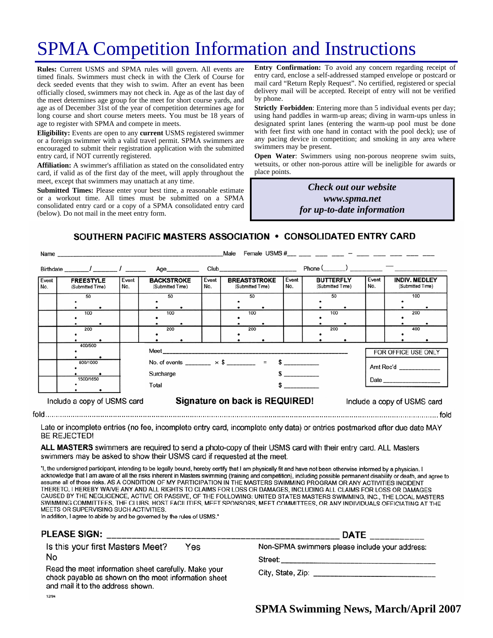# SPMA Competition Information and Instructions

**Rules:** Current USMS and SPMA rules will govern. All events are timed finals. Swimmers must check in with the Clerk of Course for deck seeded events that they wish to swim. After an event has been officially closed, swimmers may not check in. Age as of the last day of the meet determines age group for the meet for short course yards, and age as of December 31st of the year of competition determines age for long course and short course meters meets. You must be 18 years of age to register with SPMA and compete in meets.

**Eligibility:** Events are open to any **current** USMS registered swimmer or a foreign swimmer with a valid travel permit. SPMA swimmers are encouraged to submit their registration application with the submitted entry card, if NOT currently registered.

**Affiliation:** A swimmer's affiliation as stated on the consolidated entry card, if valid as of the first day of the meet, will apply throughout the meet, except that swimmers may unattach at any time.

**Submitted Times:** Please enter your best time, a reasonable estimate or a workout time. All times must be submitted on a SPMA consolidated entry card or a copy of a SPMA consolidated entry card (below). Do not mail in the meet entry form.

**Entry Confirmation:** To avoid any concern regarding receipt of entry card, enclose a self-addressed stamped envelope or postcard or mail card "Return Reply Request". No certified, registered or special delivery mail will be accepted. Receipt of entry will not be verified by phone.

**Strictly Forbidden**: Entering more than 5 individual events per day; using hand paddles in warm-up areas; diving in warm-ups unless in designated sprint lanes (entering the warm-up pool must be done with feet first with one hand in contact with the pool deck); use of any pacing device in competition; and smoking in any area where swimmers may be present.

**Open Water**: Swimmers using non-porous neoprene swim suits, wetsuits, or other non-porous attire will be ineligible for awards or place points.

> *Check out our website www.spma.net for up-to-date information*

SOUTHERN PACIFIC MASTERS ASSOCIATION • CONSOLIDATED ENTRY CARD

| Female USMS $\#$ $-$<br>Male<br>Name |                                      |                     |                                                                      |                                                               |                                         |              |                                      |              |                                          |  |
|--------------------------------------|--------------------------------------|---------------------|----------------------------------------------------------------------|---------------------------------------------------------------|-----------------------------------------|--------------|--------------------------------------|--------------|------------------------------------------|--|
|                                      | Birthdate / /                        |                     | Age                                                                  |                                                               |                                         |              | $Phone($ $)$ $)$                     |              |                                          |  |
| Event<br>No.                         | <b>FREESTYLE</b><br>(Submitted Time) | Event<br>No.        | <b>BACKSTROKE</b><br>(Submitted Time)                                | Event<br>No.                                                  | <b>BREASTSTROKE</b><br>(Submitted Time) | Event<br>No. | <b>BUTTERFLY</b><br>(Submitted Time) | Event<br>No. | <b>INDIV. MEDLEY</b><br>(Submitted Time) |  |
|                                      | 50                                   |                     | 50                                                                   |                                                               | 50                                      |              | 50                                   |              | 100                                      |  |
|                                      | 100                                  |                     | 100                                                                  |                                                               | 100                                     |              | 100                                  |              | 200                                      |  |
|                                      | 200                                  |                     | 200                                                                  |                                                               | 200                                     |              | 200                                  |              | 400                                      |  |
|                                      | 400/500                              | FOR OFFICE USE ONLY |                                                                      |                                                               |                                         |              |                                      |              |                                          |  |
| 800/1000                             |                                      |                     | No. of events _______ $\times$ \$ _______ = \$ ________<br>Surcharge |                                                               |                                         |              |                                      |              | Amt Rec'd                                |  |
|                                      | 1500/1650                            |                     | Total                                                                |                                                               |                                         |              |                                      |              |                                          |  |
|                                      | Include a copy of USMS card          |                     |                                                                      | Signature on back is REQUIRED!<br>Include a copy of USMS card |                                         |              |                                      |              |                                          |  |

Late or incomplete entries (no fee, incomplete entry card, incomplete enty data) or entries postmarked after due date MAY **BE REJECTED!** 

ALL MASTERS swimmers are required to send a photo-copy of their USMS card with their entry card. ALL Masters swimmers may be asked to show their USMS card if requested at the meet.

"I, the undersigned participant, intending to be legally bound, hereby certify that I am physically fit and have not been otherwise informed by a physician. I acknowledge that I am aware of all the risks inherent in Masters swimming (training and competition), including possible permanent disability or death, and agree to assume all of those risks. AS A CONDITION OF MY PARTICIPATION IN THE MASTERS SWIMMING PROGRAM OR ANY ACTIVITIES INCIDENT THERETO, I HEREBY WAIVE ANY AND ALL RIGHTS TO CLAIMS FOR LOSS OR DAMAGES, INCLUDING ALL CLAIMS FOR LOSS OR DAMAGES CAUSED BY THE NEGLIGENCE, ACTIVE OR PASSIVE, OF THE FOLLOWING: UNITED STATES MASTERS SWIMMING, INC., THE LOCAL MASTERS SWIMMING COMMITTEES, THE CLUBS, HOST FACILITIES, MEET SPONSORS, MEET COMMITTEES, OR ANY INDIVIDUALS OFFICIATING AT THE MEETS OR SUPERVISING SUCH ACTIVITIES.

In addition, I agree to abide by and be governed by the rules of USMS."

| PLEASE SIGN:                                                                                                                                                                                                | <b>DATE</b>                                                                                                       |  |  |  |  |
|-------------------------------------------------------------------------------------------------------------------------------------------------------------------------------------------------------------|-------------------------------------------------------------------------------------------------------------------|--|--|--|--|
| Is this your first Masters Meet?<br>Yes<br>No<br>Read the meet information sheet carefully. Make your<br>check payable as shown on the meet information sheet<br>and mail it to the address shown.<br>12/94 | Non-SPMA swimmers please include your address:<br>Street:___________<br>City, State, Zip: _______________________ |  |  |  |  |

**SPMA Swimming News, March/April 2007** 

 $f \circ f$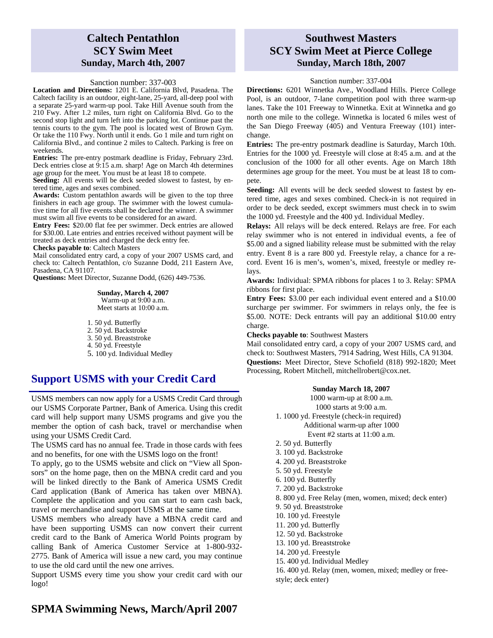## **Caltech Pentathlon SCY Swim Meet Sunday, March 4th, 2007**

#### Sanction number: 337-003

**Location and Directions:** 1201 E. California Blvd, Pasadena. The Caltech facility is an outdoor, eight-lane, 25-yard, all-deep pool with a separate 25-yard warm-up pool. Take Hill Avenue south from the 210 Fwy. After 1.2 miles, turn right on California Blvd. Go to the second stop light and turn left into the parking lot. Continue past the tennis courts to the gym. The pool is located west of Brown Gym. Or take the 110 Fwy. North until it ends. Go 1 mile and turn right on California Blvd., and continue 2 miles to Caltech. Parking is free on weekends.

**Entries:** The pre-entry postmark deadline is Friday, February 23rd. Deck entries close at 9:15 a.m. sharp! Age on March 4th determines age group for the meet. You must be at least 18 to compete.

**Seeding:** All events will be deck seeded slowest to fastest, by entered time, ages and sexes combined.

**Awards:** Custom pentathlon awards will be given to the top three finishers in each age group. The swimmer with the lowest cumulative time for all five events shall be declared the winner. A swimmer must swim all five events to be considered for an award.

**Entry Fees:** \$20.00 flat fee per swimmer. Deck entries are allowed for \$30.00. Late entries and entries received without payment will be treated as deck entries and charged the deck entry fee.

**Checks payable to**: Caltech Masters

Mail consolidated entry card, a copy of your 2007 USMS card, and check to: Caltech Pentathlon, c/o Suzanne Dodd, 211 Eastern Ave, Pasadena, CA 91107.

**Questions:** Meet Director, Suzanne Dodd, (626) 449-7536.

**Sunday, March 4, 2007**  Warm-up at 9:00 a.m. Meet starts at 10:00 a.m.

1. 50 yd. Butterfly 2. 50 yd. Backstroke 3. 50 yd. Breaststroke 4. 50 yd. Freestyle 5. 100 yd. Individual Medley

# **Support USMS with your Credit Card**

USMS members can now apply for a USMS Credit Card through our USMS Corporate Partner, Bank of America. Using this credit card will help support many USMS programs and give you the member the option of cash back, travel or merchandise when using your USMS Credit Card.

The USMS card has no annual fee. Trade in those cards with fees and no benefits, for one with the USMS logo on the front!

To apply, go to the USMS website and click on "View all Sponsors" on the home page, then on the MBNA credit card and you will be linked directly to the Bank of America USMS Credit Card application (Bank of America has taken over MBNA). Complete the application and you can start to earn cash back, travel or merchandise and support USMS at the same time.

USMS members who already have a MBNA credit card and have been supporting USMS can now convert their current credit card to the Bank of America World Points program by calling Bank of America Customer Service at 1-800-932- 2775. Bank of America will issue a new card, you may continue to use the old card until the new one arrives.

Support USMS every time you show your credit card with our logo!

### **Southwest Masters SCY Swim Meet at Pierce College Sunday, March 18th, 2007**

#### Sanction number: 337-004

**Directions:** 6201 Winnetka Ave., Woodland Hills. Pierce College Pool, is an outdoor, 7-lane competition pool with three warm-up lanes. Take the 101 Freeway to Winnetka. Exit at Winnetka and go north one mile to the college. Winnetka is located 6 miles west of the San Diego Freeway (405) and Ventura Freeway (101) interchange.

**Entries:** The pre-entry postmark deadline is Saturday, March 10th. Entries for the 1000 yd. Freestyle will close at 8:45 a.m. and at the conclusion of the 1000 for all other events. Age on March 18th determines age group for the meet. You must be at least 18 to compete.

**Seeding:** All events will be deck seeded slowest to fastest by entered time, ages and sexes combined. Check-in is not required in order to be deck seeded, except swimmers must check in to swim the 1000 yd. Freestyle and the 400 yd. Individual Medley.

**Relays:** All relays will be deck entered. Relays are free. For each relay swimmer who is not entered in individual events, a fee of \$5.00 and a signed liability release must be submitted with the relay entry. Event 8 is a rare 800 yd. Freestyle relay, a chance for a record. Event 16 is men's, women's, mixed, freestyle or medley relays.

**Awards:** Individual: SPMA ribbons for places 1 to 3. Relay: SPMA ribbons for first place.

**Entry Fees:** \$3.00 per each individual event entered and a \$10.00 surcharge per swimmer. For swimmers in relays only, the fee is \$5.00. NOTE: Deck entrants will pay an additional \$10.00 entry charge.

**Checks payable to**: Southwest Masters

Mail consolidated entry card, a copy of your 2007 USMS card, and check to: Southwest Masters, 7914 Sadring, West Hills, CA 91304. **Questions:** Meet Director, Steve Schofield (818) 992-1820; Meet Processing, Robert Mitchell, mitchellrobert@cox.net.

> **Sunday March 18, 2007**  1000 warm-up at 8:00 a.m. 1000 starts at 9:00 a.m. 1. 1000 yd. Freestyle (check-in required) Additional warm-up after 1000 Event #2 starts at 11:00 a.m. 2. 50 yd. Butterfly 3. 100 yd. Backstroke 4. 200 yd. Breaststroke 5. 50 yd. Freestyle 6. 100 yd. Butterfly 7. 200 yd. Backstroke 8. 800 yd. Free Relay (men, women, mixed; deck enter) 9. 50 yd. Breaststroke 10. 100 yd. Freestyle 11. 200 yd. Butterfly 12. 50 yd. Backstroke 13. 100 yd. Breaststroke 14. 200 yd. Freestyle

15. 400 yd. Individual Medley

16. 400 yd. Relay (men, women, mixed; medley or freestyle; deck enter)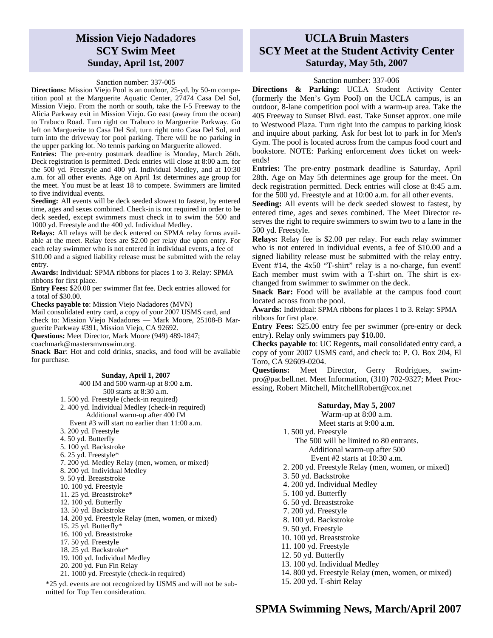## **Mission Viejo Nadadores SCY Swim Meet Sunday, April 1st, 2007**

#### Sanction number: 337-005

**Directions:** Mission Viejo Pool is an outdoor, 25-yd. by 50-m competition pool at the Marguerite Aquatic Center, 27474 Casa Del Sol, Mission Viejo. From the north or south, take the I-5 Freeway to the Alicia Parkway exit in Mission Viejo. Go east (away from the ocean) to Trabuco Road. Turn right on Trabuco to Marguerite Parkway. Go left on Marguerite to Casa Del Sol, turn right onto Casa Del Sol, and turn into the driveway for pool parking. There will be no parking in the upper parking lot. No tennis parking on Marguerite allowed.

**Entries:** The pre-entry postmark deadline is Monday, March 26th. Deck registration is permitted. Deck entries will close at 8:00 a.m. for the 500 yd. Freestyle and 400 yd. Individual Medley, and at 10:30 a.m. for all other events. Age on April 1st determines age group for the meet. You must be at least 18 to compete. Swimmers are limited to five individual events.

**Seeding:** All events will be deck seeded slowest to fastest, by entered time, ages and sexes combined. Check-in is not required in order to be deck seeded, except swimmers must check in to swim the 500 and 1000 yd. Freestyle and the 400 yd. Individual Medley.

**Relays:** All relays will be deck entered on SPMA relay forms available at the meet. Relay fees are \$2.00 per relay due upon entry. For each relay swimmer who is not entered in individual events, a fee of \$10.00 and a signed liability release must be submitted with the relay

entry.

**Awards:** Individual: SPMA ribbons for places 1 to 3. Relay: SPMA ribbons for first place.

**Entry Fees:** \$20.00 per swimmer flat fee. Deck entries allowed for a total of \$30.00.

**Checks payable to**: Mission Viejo Nadadores (MVN)

Mail consolidated entry card, a copy of your 2007 USMS card, and check to: Mission Viejo Nadadores — Mark Moore, 25108-B Marguerite Parkway #391, Mission Viejo, CA 92692.

**Questions:** Meet Director, Mark Moore (949) 489-1847;

coachmark@mastersmvnswim.org.

**Snack Bar**: Hot and cold drinks, snacks, and food will be available for purchase.

### **Sunday, April 1, 2007**

- 400 IM and 500 warm-up at 8:00 a.m. 500 starts at 8:30 a.m. 1. 500 yd. Freestyle (check-in required) 2. 400 yd. Individual Medley (check-in required)
- Additional warm-up after 400 IM Event #3 will start no earlier than 11:00 a.m.
- 3. 200 yd. Freestyle
- 4. 50 yd. Butterfly
- 5. 100 yd. Backstroke
- 6. 25 yd. Freestyle\*
- 7. 200 yd. Medley Relay (men, women, or mixed)
- 8. 200 yd. Individual Medley
- 9. 50 yd. Breaststroke
- 10. 100 yd. Freestyle
- 11. 25 yd. Breaststroke\*
- 12. 100 yd. Butterfly
- 13. 50 yd. Backstroke
- 14. 200 yd. Freestyle Relay (men, women, or mixed)
- 15. 25 yd. Butterfly\*
- 16. 100 yd. Breaststroke
- 17. 50 yd. Freestyle
- 18. 25 yd. Backstroke\*
- 19. 100 yd. Individual Medley
- 20. 200 yd. Fun Fin Relay
- 21. 1000 yd. Freestyle (check-in required)
- \*25 yd. events are not recognized by USMS and will not be submitted for Top Ten consideration.

### **UCLA Bruin Masters SCY Meet at the Student Activity Center Saturday, May 5th, 2007**

#### Sanction number: 337-006

**Directions & Parking:** UCLA Student Activity Center (formerly the Men's Gym Pool) on the UCLA campus, is an outdoor, 8-lane competition pool with a warm-up area. Take the 405 Freeway to Sunset Blvd. east. Take Sunset approx. one mile to Westwood Plaza. Turn right into the campus to parking kiosk and inquire about parking. Ask for best lot to park in for Men's Gym. The pool is located across from the campus food court and bookstore. NOTE: Parking enforcement *does* ticket on weekends!

**Entries:** The pre-entry postmark deadline is Saturday, April 28th. Age on May 5th determines age group for the meet. On deck registration permitted. Deck entries will close at 8:45 a.m. for the 500 yd. Freestyle and at 10:00 a.m. for all other events.

**Seeding:** All events will be deck seeded slowest to fastest, by entered time, ages and sexes combined. The Meet Director reserves the right to require swimmers to swim two to a lane in the 500 yd. Freestyle.

**Relays:** Relay fee is \$2.00 per relay. For each relay swimmer who is not entered in individual events, a fee of \$10.00 and a signed liability release must be submitted with the relay entry. Event #14, the 4x50 "T-shirt" relay is a no-charge, fun event! Each member must swim with a T-shirt on. The shirt is exchanged from swimmer to swimmer on the deck.

**Snack Bar:** Food will be available at the campus food court located across from the pool.

**Awards:** Individual: SPMA ribbons for places 1 to 3. Relay: SPMA ribbons for first place.

**Entry Fees:** \$25.00 entry fee per swimmer (pre-entry or deck entry). Relay only swimmers pay \$10**.**00.

**Checks payable to**: UC Regents**,** mail consolidated entry card, a copy of your 2007 USMS card, and check to: P. O. Box 204, El Toro, CA 92609-0204.

**Questions:** Meet Director, Gerry Rodrigues, swimpro@pacbell.net. Meet Information, (310) 702-9327; Meet Processing, Robert Mitchell, MitchellRobert@cox.net

### **Saturday, May 5, 2007**  Warm-up at 8:00 a.m.

Meet starts at 9:00 a.m. 1. 500 yd. Freestyle The 500 will be limited to 80 entrants. Additional warm-up after 500 Event #2 starts at 10:30 a.m. 2. 200 yd. Freestyle Relay (men, women, or mixed) 3. 50 yd. Backstroke 4. 200 yd. Individual Medley 5. 100 yd. Butterfly 6. 50 yd. Breaststroke 7. 200 yd. Freestyle 8. 100 yd. Backstroke 9. 50 yd. Freestyle 10. 100 yd. Breaststroke 11. 100 yd. Freestyle 12. 50 yd. Butterfly

- 
- 13. 100 yd. Individual Medley
- 14. 800 yd. Freestyle Relay (men, women, or mixed)
- 15. 200 yd. T-shirt Relay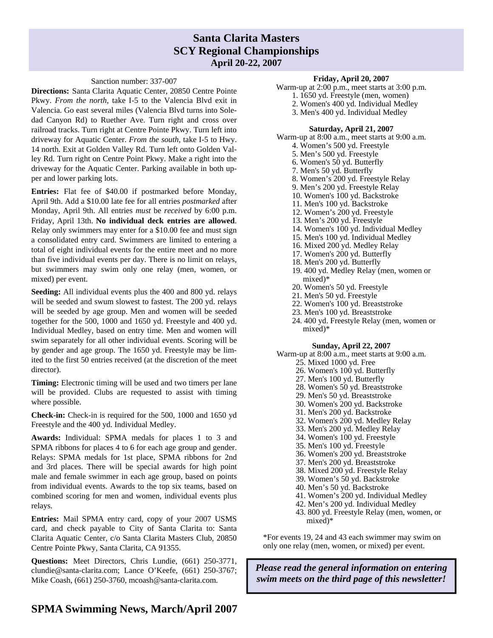### **Santa Clarita Masters SCY Regional Championships April 20-22, 2007**

#### Sanction number: 337-007

**Directions:** Santa Clarita Aquatic Center, 20850 Centre Pointe Pkwy. *From the north*, take I-5 to the Valencia Blvd exit in Valencia. Go east several miles (Valencia Blvd turns into Soledad Canyon Rd) to Ruether Ave. Turn right and cross over railroad tracks. Turn right at Centre Pointe Pkwy. Turn left into driveway for Aquatic Center. *From the south*, take I-5 to Hwy. 14 north. Exit at Golden Valley Rd. Turn left onto Golden Valley Rd. Turn right on Centre Point Pkwy. Make a right into the driveway for the Aquatic Center. Parking available in both upper and lower parking lots.

**Entries:** Flat fee of \$40.00 if postmarked before Monday, April 9th. Add a \$10.00 late fee for all entries *postmarked* after Monday, April 9th. All entries *must* be *received* by 6:00 p.m. Friday, April 13th. **No individual deck entries are allowed**. Relay only swimmers may enter for a \$10.00 fee and must sign a consolidated entry card. Swimmers are limited to entering a total of eight individual events for the entire meet and no more than five individual events per day. There is no limit on relays, but swimmers may swim only one relay (men, women, or mixed) per event.

**Seeding:** All individual events plus the 400 and 800 yd. relays will be seeded and swum slowest to fastest. The 200 yd. relays will be seeded by age group. Men and women will be seeded together for the 500, 1000 and 1650 yd. Freestyle and 400 yd. Individual Medley, based on entry time. Men and women will swim separately for all other individual events. Scoring will be by gender and age group. The 1650 yd. Freestyle may be limited to the first 50 entries received (at the discretion of the meet director).

**Timing:** Electronic timing will be used and two timers per lane will be provided. Clubs are requested to assist with timing where possible.

**Check-in:** Check-in is required for the 500, 1000 and 1650 yd Freestyle and the 400 yd. Individual Medley.

**Awards:** Individual: SPMA medals for places 1 to 3 and SPMA ribbons for places 4 to 6 for each age group and gender. Relays: SPMA medals for 1st place, SPMA ribbons for 2nd and 3rd places. There will be special awards for high point male and female swimmer in each age group, based on points from individual events. Awards to the top six teams, based on combined scoring for men and women, individual events plus relays.

**Entries:** Mail SPMA entry card, copy of your 2007 USMS card, and check payable to City of Santa Clarita to: Santa Clarita Aquatic Center, c/o Santa Clarita Masters Club, 20850 Centre Pointe Pkwy, Santa Clarita, CA 91355.

**Questions:** Meet Directors, Chris Lundie, (661) 250-3771, clundie@santa-clarita.com; Lance O'Keefe, (661) 250-3767; Mike Coash, (661) 250-3760, mcoash@santa-clarita.com.

#### 6. Women's 50 yd. Butterfly

- 7. Men's 50 yd. Butterfly
- 8. Women's 200 yd. Freestyle Relay

**Friday, April 20, 2007**  Warm-up at 2:00 p.m., meet starts at 3:00 p.m. 1. 1650 yd. Freestyle (men, women) 2. Women's 400 yd. Individual Medley 3. Men's 400 yd. Individual Medley

**Saturday, April 21, 2007**  Warm-up at 8:00 a.m., meet starts at 9:00 a.m. 4. Women's 500 yd. Freestyle 5. Men's 500 yd. Freestyle

- 9. Men's 200 yd. Freestyle Relay
- 10. Women's 100 yd. Backstroke
- 11. Men's 100 yd. Backstroke
- 12. Women's 200 yd. Freestyle
- 13. Men's 200 yd. Freestyle
- 14. Women's 100 yd. Individual Medley
- 15. Men's 100 yd. Individual Medley
- 16. Mixed 200 yd. Medley Relay
- 17. Women's 200 yd. Butterfly
- 18. Men's 200 yd. Butterfly
- 19. 400 yd. Medley Relay (men, women or mixed)\*
- 20. Women's 50 yd. Freestyle
- 21. Men's 50 yd. Freestyle
- 22. Women's 100 yd. Breaststroke
- 23. Men's 100 yd. Breaststroke
- 24. 400 yd. Freestyle Relay (men, women or mixed)\*

#### **Sunday, April 22, 2007**

Warm-up at 8:00 a.m., meet starts at 9:00 a.m.

- 25. Mixed 1000 yd. Free
- 26. Women's 100 yd. Butterfly
- 27. Men's 100 yd. Butterfly
- 28. Women's 50 yd. Breaststroke
- 29. Men's 50 yd. Breaststroke
- 30. Women's 200 yd. Backstroke
- 31. Men's 200 yd. Backstroke
- 32. Women's 200 yd. Medley Relay
- 33. Men's 200 yd. Medley Relay
- 34. Women's 100 yd. Freestyle
- 35. Men's 100 yd. Freestyle
- 36. Women's 200 yd. Breaststroke
- 37. Men's 200 yd. Breaststroke
- 38. Mixed 200 yd. Freestyle Relay
- 39. Women's 50 yd. Backstroke
- 40. Men's 50 yd. Backstroke
- 41. Women's 200 yd. Individual Medley
- 42. Men's 200 yd. Individual Medley
- 43. 800 yd. Freestyle Relay (men, women, or mixed)\*

\*For events 19, 24 and 43 each swimmer may swim on only one relay (men, women, or mixed) per event.

*Please read the general information on entering swim meets on the third page of this newsletter!*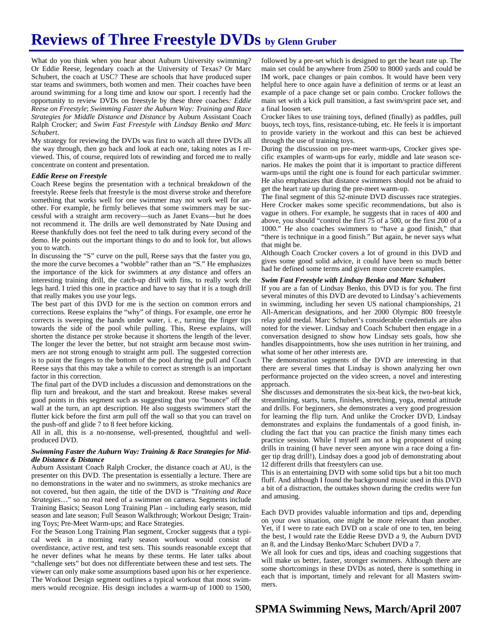# **Reviews of Three Freestyle DVDs by Glenn Gruber**

What do you think when you hear about Auburn University swimming? Or Eddie Reese, legendary coach at the University of Texas? Or Marc Schubert, the coach at USC? These are schools that have produced super star teams and swimmers, both women and men. Their coaches have been around swimming for a long time and know our sport. I recently had the opportunity to review DVDs on freestyle by these three coaches*: Eddie Reese on Freestyle*; *Swimming Faster the Auburn Way: Training and Race Strategies for Middle Distance and Distance* by Auburn Assistant Coach Ralph Crocker; and *Swim Fast Freestyle with Lindsay Benko and Marc Schubert*.

My strategy for reviewing the DVDs was first to watch all three DVDs all the way through, then go back and look at each one, taking notes as I reviewed. This, of course, required lots of rewinding and forced me to really concentrate on content and presentation.

#### *Eddie Reese on Freestyle*

Coach Reese begins the presentation with a technical breakdown of the freestyle. Reese feels that freestyle is the most diverse stroke and therefore something that works well for one swimmer may not work well for another. For example, he firmly believes that some swimmers may be successful with a straight arm recovery—such as Janet Evans—but he does not recommend it. The drills are well demonstrated by Nate Dusing and Reese thankfully does not feel the need to talk during every second of the demo. He points out the important things to do and to look for, but allows you to watch.

In discussing the "S" curve on the pull, Reese says that the faster you go, the more the curve becomes a "wobble" rather than an "S." He emphasizes the importance of the kick for swimmers at *any* distance and offers an interesting training drill, the catch-up drill with fins, to really work the legs hard. I tried this one in practice and have to say that it is a tough drill that really makes you use your legs.

The best part of this DVD for me is the section on common errors and corrections. Reese explains the "why" of things. For example, one error he corrects is sweeping the hands under water, i. e., turning the finger tips towards the side of the pool while pulling. This, Reese explains, will shorten the distance per stroke because it shortens the length of the lever. The longer the lever the better, but not straight arm because most swimmers are not strong enough to straight arm pull. The suggested correction is to point the fingers to the bottom of the pool during the pull and Coach Reese says that this may take a while to correct as strength is an important factor in this correction.

The final part of the DVD includes a discussion and demonstrations on the flip turn and breakout, and the start and breakout. Reese makes several good points in this segment such as suggesting that you "bounce" off the wall at the turn, an apt description. He also suggests swimmers start the flutter kick before the first arm pull off the wall so that you can travel on the push-off and glide 7 to 8 feet before kicking.

All in all, this is a no-nonsense, well-presented, thoughtful and wellproduced DVD.

#### *Swimming Faster the Auburn Way: Training & Race Strategies for Middle Distance & Distance*

Auburn Assistant Coach Ralph Crocker, the distance coach at AU, is the presenter on this DVD. The presentation is essentially a lecture. There are no demonstrations in the water and no swimmers, as stroke mechanics are not covered, but then again, the title of the DVD is "*Training and Race Strategies*…" so no real need of a swimmer on camera. Segments include Training Basics; Season Long Training Plan – including early season, mid season and late season; Full Season Walkthrough; Workout Design; Training Toys; Pre-Meet Warm-ups; and Race Strategies.

For the Season Long Training Plan segment, Crocker suggests that a typical week in a morning early season workout would consist of overdistance, active rest, and test sets. This sounds reasonable except that he never defines what he means by these terms. He later talks about "challenge sets" but does not differentiate between these and test sets. The viewer can only make some assumptions based upon his or her experience. The Workout Design segment outlines a typical workout that most swimmers would recognize. His design includes a warm-up of 1000 to 1500,

followed by a pre-set which is designed to get the heart rate up. The main set could be anywhere from 2500 to 8000 yards and could be IM work, pace changes or pain combos. It would have been very helpful here to once again have a definition of terms or at least an example of a pace change set or pain combo. Crocker follows the main set with a kick pull transition, a fast swim/sprint pace set, and a final loosen set.

Crocker likes to use training toys, defined (finally) as paddles, pull buoys, tech toys, fins, resistance-tubing, etc. He feels it is important to provide variety in the workout and this can best be achieved through the use of training toys.

During the discussion on pre-meet warm-ups, Crocker gives specific examples of warm-ups for early, middle and late season scenarios. He makes the point that it is important to practice different warm-ups until the right one is found for each particular swimmer. He also emphasizes that distance swimmers should not be afraid to get the heart rate up during the pre-meet warm-up.

The final segment of this 52-minute DVD discusses race strategies. Here Crocker makes some specific recommendations, but also is vague in others. For example, he suggests that in races of 400 and above, you should "control the first 75 of a 500, or the first 200 of a 1000." He also coaches swimmers to "have a good finish," that "there is technique in a good finish." But again, he never says what that might be.

Although Coach Crocker covers a lot of ground in this DVD and gives some good solid advice, it could have been so much better had he defined some terms and given more concrete examples.

#### *Swim Fast Freestyle with Lindsay Benko and Marc Schubert*

If you are a fan of Lindsay Benko, this DVD is for you. The first several minutes of this DVD are devoted to Lindsay's achievements in swimming, including her seven US national championships, 21 All-American designations, and her 2000 Olympic 800 freestyle relay gold medal. Marc Schubert's considerable credentials are also noted for the viewer. Lindsay and Coach Schubert then engage in a conversation designed to show how Lindsay sets goals, how she handles disappointments, how she uses nutrition in her training, and what some of her other interests are.

The demonstration segments of the DVD are interesting in that there are several times that Lindsay is shown analyzing her own performance projected on the video screen, a novel and interesting approach.

She discusses and demonstrates the six-beat kick, the two-beat kick, streamlining, starts, turns, finishes, stretching, yoga, mental attitude and drills. For beginners, she demonstrates a very good progression for learning the flip turn. And unlike the Crocker DVD, Lindsay demonstrates and explains the fundamentals of a good finish, including the fact that you can practice the finish many times each practice session. While I myself am not a big proponent of using drills in training (I have never seen anyone win a race doing a finger tip drag drill!), Lindsay does a good job of demonstrating about 12 different drills that freestylers can use.

This is an entertaining DVD with some solid tips but a bit too much fluff. And although I found the background music used in this DVD a bit of a distraction, the outtakes shown during the credits were fun and amusing.

Each DVD provides valuable information and tips and, depending on your own situation, one might be more relevant than another. Yet, if I were to rate each DVD on a scale of one to ten, ten being the best, I would rate the Eddie Reese DVD a 9, the Auburn DVD an 8, and the Lindsay Benko/Marc Schubert DVD a 7.

We all look for cues and tips, ideas and coaching suggestions that will make us better, faster, stronger swimmers. Although there are some shortcomings in these DVDs as noted, there is something in each that is important, timely and relevant for all Masters swimmers.